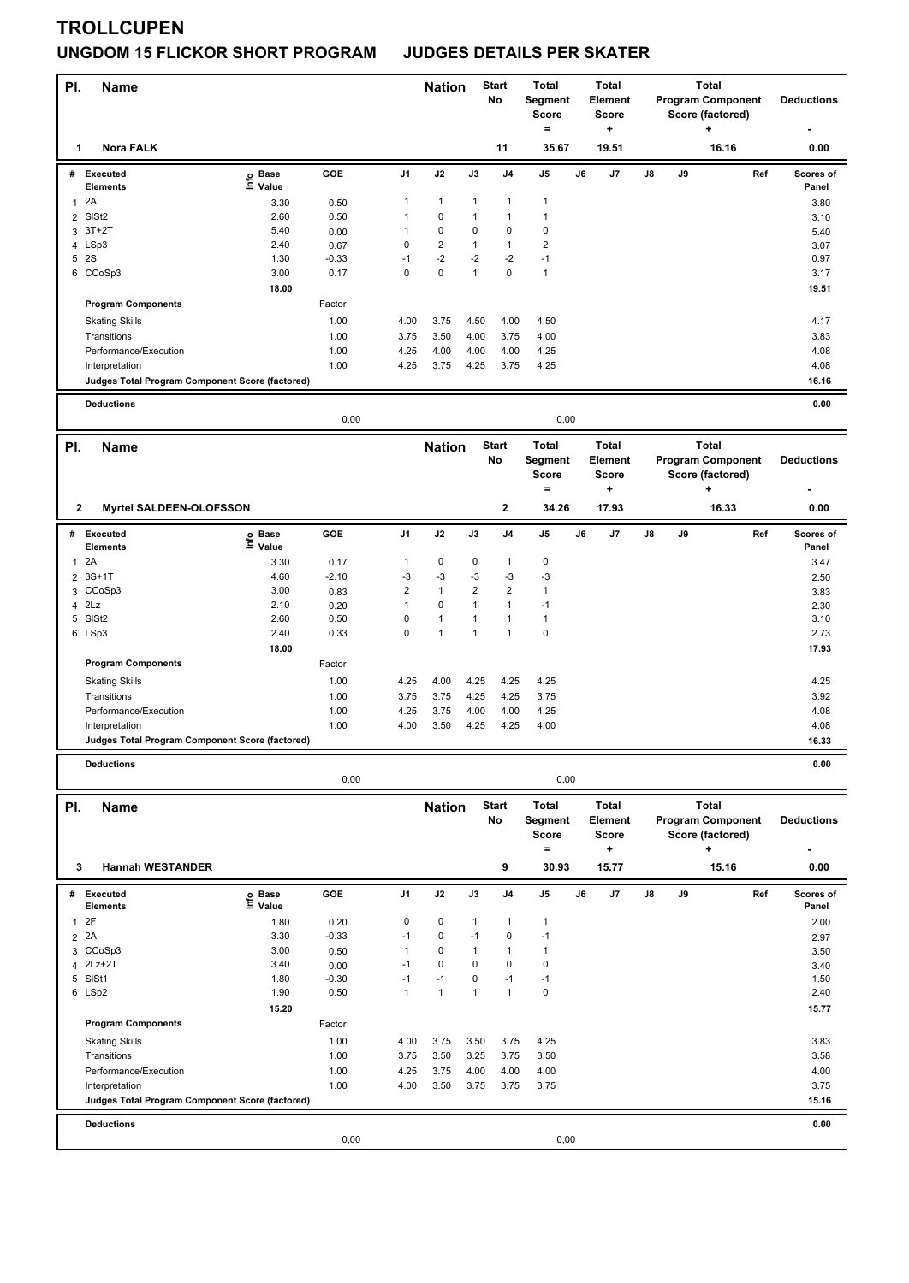# **TROLLCUPEN UNGDOM 15 FLICKOR SHORT PROGRAM JUDGES DETAILS PER SKATER**

| PI.            | <b>Name</b>                                     |                                  |                |                | <b>Nation</b>  |                | <b>Start</b><br>No           | <b>Total</b><br>Segment<br><b>Score</b><br>$=$ |    | <b>Total</b><br>Element<br><b>Score</b><br>٠ | <b>Total</b><br><b>Program Component</b><br>Score (factored)<br>٠ |    |                                              | <b>Deductions</b>  |
|----------------|-------------------------------------------------|----------------------------------|----------------|----------------|----------------|----------------|------------------------------|------------------------------------------------|----|----------------------------------------------|-------------------------------------------------------------------|----|----------------------------------------------|--------------------|
| 1              | <b>Nora FALK</b>                                |                                  |                |                |                |                | 11                           | 35.67                                          |    | 19.51                                        |                                                                   |    | 16.16                                        | 0.00               |
| #              | Executed                                        | <b>Base</b><br>e Base<br>⊆ Value | GOE            | J <sub>1</sub> | J2             | J3             | J <sub>4</sub>               | J5                                             | J6 | J7                                           | J8                                                                | J9 | Ref                                          | Scores of          |
| 1              | <b>Elements</b><br>2A                           | 3.30                             | 0.50           | 1              | $\mathbf{1}$   | $\mathbf{1}$   | $\mathbf{1}$                 | $\mathbf{1}$                                   |    |                                              |                                                                   |    |                                              | Panel<br>3.80      |
| $\overline{2}$ | SISt <sub>2</sub>                               | 2.60                             | 0.50           | 1              | 0              | 1              | $\mathbf{1}$                 | $\mathbf{1}$                                   |    |                                              |                                                                   |    |                                              | 3.10               |
|                | 3 3T+2T                                         | 5.40                             | 0.00           | 1              | 0              | 0              | $\pmb{0}$                    | $\pmb{0}$                                      |    |                                              |                                                                   |    |                                              | 5.40               |
| 4              | LSp3                                            | 2.40                             | 0.67           | 0              | $\overline{2}$ | $\mathbf{1}$   | $\mathbf{1}$                 | $\overline{2}$                                 |    |                                              |                                                                   |    |                                              | 3.07               |
|                | 5 2S                                            | 1.30                             | $-0.33$        | $-1$           | $-2$           | $-2$           | $-2$                         | $-1$                                           |    |                                              |                                                                   |    |                                              | 0.97               |
|                | 6 CCoSp3                                        | 3.00                             | 0.17           | 0              | $\mathbf 0$    | $\mathbf{1}$   | $\pmb{0}$                    | $\mathbf{1}$                                   |    |                                              |                                                                   |    |                                              | 3.17               |
|                |                                                 | 18.00                            |                |                |                |                |                              |                                                |    |                                              |                                                                   |    |                                              | 19.51              |
|                | <b>Program Components</b>                       |                                  | Factor<br>1.00 |                |                | 4.50           |                              |                                                |    |                                              |                                                                   |    |                                              | 4.17               |
|                | <b>Skating Skills</b><br>Transitions            |                                  | 1.00           | 4.00<br>3.75   | 3.75<br>3.50   | 4.00           | 4.00<br>3.75                 | 4.50<br>4.00                                   |    |                                              |                                                                   |    |                                              | 3.83               |
|                | Performance/Execution                           |                                  | 1.00           | 4.25           | 4.00           | 4.00           | 4.00                         | 4.25                                           |    |                                              |                                                                   |    |                                              | 4.08               |
|                | Interpretation                                  |                                  | 1.00           | 4.25           | 3.75           | 4.25           | 3.75                         | 4.25                                           |    |                                              |                                                                   |    |                                              | 4.08               |
|                | Judges Total Program Component Score (factored) |                                  |                |                |                |                |                              |                                                |    |                                              |                                                                   |    |                                              | 16.16              |
|                | <b>Deductions</b>                               |                                  |                |                |                |                |                              |                                                |    |                                              |                                                                   |    |                                              | 0.00               |
|                |                                                 |                                  | 0,00           |                |                |                |                              | 0,00                                           |    |                                              |                                                                   |    |                                              |                    |
| PI.            | <b>Name</b>                                     |                                  |                |                | <b>Nation</b>  |                | <b>Start</b>                 | Total                                          |    | <b>Total</b>                                 |                                                                   |    | <b>Total</b>                                 |                    |
|                |                                                 |                                  |                |                |                |                | No                           | Segment<br><b>Score</b>                        |    | <b>Element</b><br><b>Score</b>               |                                                                   |    | <b>Program Component</b><br>Score (factored) | <b>Deductions</b>  |
|                |                                                 |                                  |                |                |                |                |                              | $=$                                            |    | ٠                                            |                                                                   |    | $\ddot{}$                                    | ۰                  |
| $\mathbf{2}$   | <b>Myrtel SALDEEN-OLOFSSON</b>                  |                                  |                |                |                |                | 2                            | 34.26                                          |    | 17.93                                        |                                                                   |    | 16.33                                        | 0.00               |
|                | # Executed<br>Elements                          | Base<br>۴ů<br>Value              | GOE            | J1             | J2             | $\mathsf{J3}$  | J4                           | J5                                             | J6 | J7                                           | J8                                                                | J9 | Ref                                          | Scores of<br>Panel |
| 1              | 2A                                              | 3.30                             | 0.17           | 1              | $\pmb{0}$      | 0              | $\mathbf{1}$                 | $\pmb{0}$                                      |    |                                              |                                                                   |    |                                              | 3.47               |
| 2              | $3S+1T$                                         | 4.60                             | $-2.10$        | $-3$           | $-3$           | $-3$           | $-3$                         | -3                                             |    |                                              |                                                                   |    |                                              | 2.50               |
| 3              | CCoSp3                                          | 3.00                             | 0.83           | 2              | $\mathbf{1}$   | $\overline{2}$ | $\overline{2}$               | $\mathbf{1}$                                   |    |                                              |                                                                   |    |                                              | 3.83               |
| 4              | 2Lz                                             | 2.10                             | 0.20           | 1              | 0              | $\mathbf{1}$   | $\mathbf{1}$                 | $-1$                                           |    |                                              |                                                                   |    |                                              | 2.30               |
| 5              | SISt <sub>2</sub>                               | 2.60                             | 0.50           | 0              | $\mathbf{1}$   | 1              | $\mathbf{1}$<br>$\mathbf{1}$ | $\mathbf{1}$                                   |    |                                              |                                                                   |    |                                              | 3.10               |
|                | 6 LSp3                                          | 2.40<br>18.00                    | 0.33           | 0              | $\mathbf{1}$   | $\mathbf{1}$   |                              | $\pmb{0}$                                      |    |                                              |                                                                   |    |                                              | 2.73<br>17.93      |
|                | <b>Program Components</b>                       |                                  | Factor         |                |                |                |                              |                                                |    |                                              |                                                                   |    |                                              |                    |
|                | <b>Skating Skills</b>                           |                                  | 1.00           | 4.25           | 4.00           | 4.25           | 4.25                         | 4.25                                           |    |                                              |                                                                   |    |                                              | 4.25               |
|                | Transitions                                     |                                  | 1.00           | 3.75           | 3.75           | 4.25           | 4.25                         | 3.75                                           |    |                                              |                                                                   |    |                                              | 3.92               |
|                | Performance/Execution                           |                                  | 1.00           | 4.25           | 3.75           | 4.00           | 4.00                         | 4.25                                           |    |                                              |                                                                   |    |                                              | 4.08               |
|                | Interpretation                                  |                                  | 1.00           | 4.00           | 3.50           | 4.25           | 4.25                         | 4.00                                           |    |                                              |                                                                   |    |                                              | 4.08               |
|                | Judges Total Program Component Score (factored) |                                  |                |                |                |                |                              |                                                |    |                                              |                                                                   |    |                                              | 16.33              |
|                | <b>Deductions</b>                               |                                  | 0,00           |                |                |                |                              | 0,00                                           |    |                                              |                                                                   |    |                                              | 0.00               |
|                |                                                 |                                  |                |                |                |                |                              |                                                |    |                                              |                                                                   |    |                                              |                    |
| PI.            | Name                                            |                                  |                |                | <b>Nation</b>  |                | <b>Start</b>                 | Total                                          |    | <b>Total</b>                                 |                                                                   |    | <b>Total</b>                                 |                    |
|                |                                                 |                                  |                |                |                |                | No                           | Segment<br>Score                               |    | <b>Element</b><br>Score                      |                                                                   |    | <b>Program Component</b><br>Score (factored) | <b>Deductions</b>  |
|                |                                                 |                                  |                |                |                |                |                              | $=$                                            |    | ٠                                            |                                                                   |    | ۰.                                           |                    |
| 3              | <b>Hannah WESTANDER</b>                         |                                  |                |                |                |                | 9                            | 30.93                                          |    | 15.77                                        |                                                                   |    | 15.16                                        | 0.00               |
| #              | <b>Executed</b><br><b>Elements</b>              | e Base<br>⊑ Value                | GOE            | J1             | J2             | J3             | J4                           | J5                                             | J6 | J7                                           | J8                                                                | J9 | Ref                                          | Scores of<br>Panel |
| $\mathbf{1}$   | 2F                                              | 1.80                             | 0.20           | 0              | 0              | 1              | $\mathbf{1}$                 | $\mathbf{1}$                                   |    |                                              |                                                                   |    |                                              | 2.00               |
|                | 2 2A                                            | 3.30                             | $-0.33$        | $-1$           | $\pmb{0}$      | $-1$           | $\pmb{0}$                    | $-1$                                           |    |                                              |                                                                   |    |                                              | 2.97               |
|                | 3 CCoSp3                                        | 3.00                             | 0.50           | 1              | 0              | 1              | $\mathbf{1}$                 | $\mathbf{1}$                                   |    |                                              |                                                                   |    |                                              | 3.50               |
|                | 4 2Lz+2T                                        | 3.40                             | 0.00           | $-1$           | 0              | $\mathbf 0$    | $\mathbf 0$                  | $\pmb{0}$                                      |    |                                              |                                                                   |    |                                              | 3.40               |
|                | 5 SISt1                                         | 1.80                             | $-0.30$        | $-1$           | $-1$           | 0              | $-1$                         | $-1$                                           |    |                                              |                                                                   |    |                                              | 1.50               |
|                | 6 LSp2                                          | 1.90                             | 0.50           | 1              | $\mathbf{1}$   | $\mathbf{1}$   | $\mathbf{1}$                 | $\pmb{0}$                                      |    |                                              |                                                                   |    |                                              | 2.40               |
|                | <b>Program Components</b>                       | 15.20                            | Factor         |                |                |                |                              |                                                |    |                                              |                                                                   |    |                                              | 15.77              |
|                | <b>Skating Skills</b>                           |                                  | 1.00           | 4.00           | 3.75           | 3.50           | 3.75                         | 4.25                                           |    |                                              |                                                                   |    |                                              | 3.83               |
|                | Transitions                                     |                                  | 1.00           | 3.75           | 3.50           | 3.25           | 3.75                         | 3.50                                           |    |                                              |                                                                   |    |                                              | 3.58               |
|                | Performance/Execution                           |                                  | 1.00           | 4.25           | 3.75           | 4.00           | 4.00                         | 4.00                                           |    |                                              |                                                                   |    |                                              | 4.00               |
|                | Interpretation                                  |                                  | 1.00           | 4.00           | 3.50           | 3.75           | 3.75                         | 3.75                                           |    |                                              |                                                                   |    |                                              | 3.75               |
|                | Judges Total Program Component Score (factored) |                                  |                |                |                |                |                              |                                                |    |                                              |                                                                   |    |                                              | 15.16              |
|                | <b>Deductions</b>                               |                                  |                |                |                |                |                              |                                                |    |                                              |                                                                   |    |                                              | 0.00               |
|                |                                                 |                                  | 0,00           |                |                |                |                              | 0,00                                           |    |                                              |                                                                   |    |                                              |                    |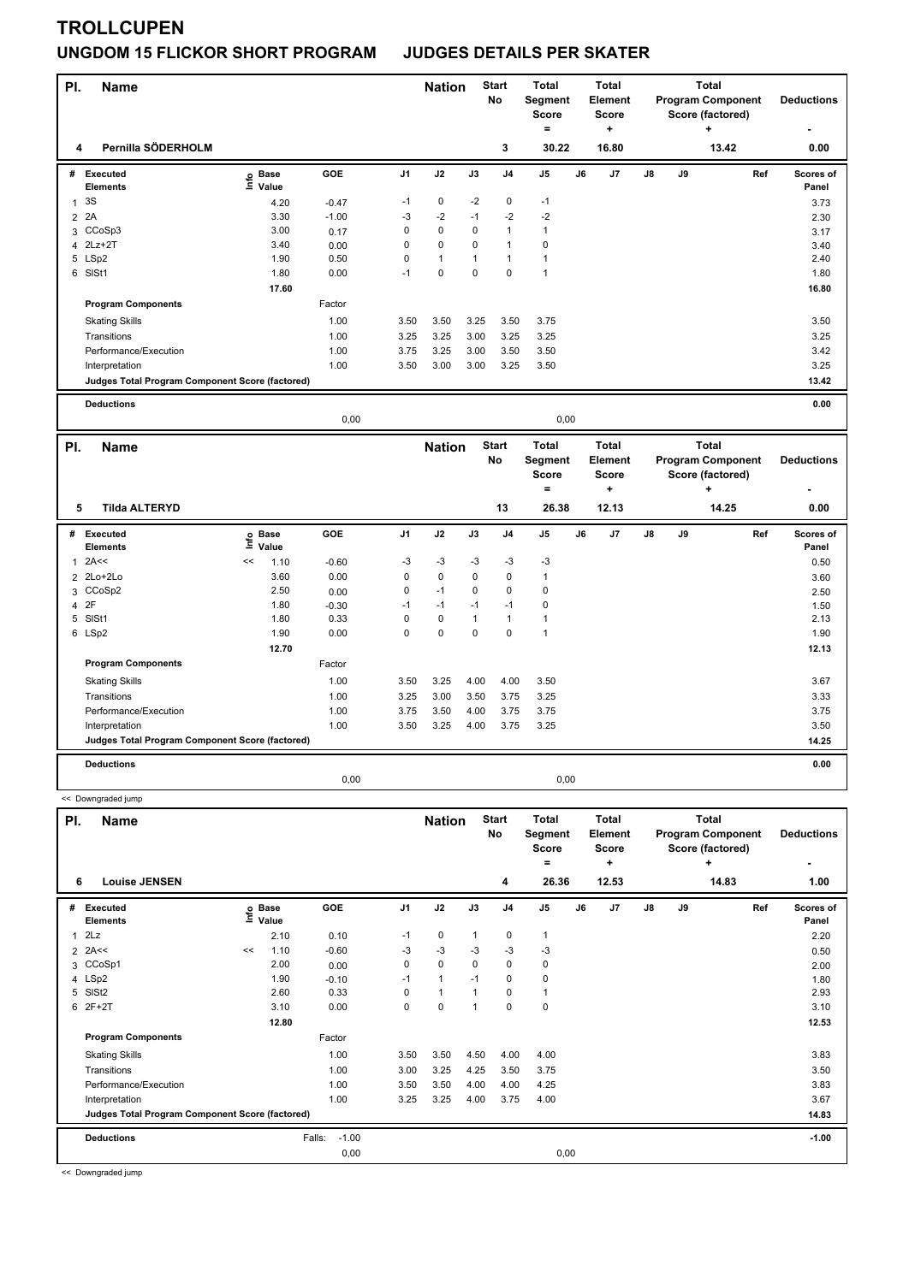#### **TROLLCUPEN**

#### **UNGDOM 15 FLICKOR SHORT PROGRAM JUDGES DETAILS PER SKATER**

| PI.            | <b>Name</b>                                     |                            |         |                | <b>Nation</b> |              | <b>Start</b><br>No | <b>Total</b><br>Segment<br><b>Score</b><br>$=$ |    | <b>Total</b><br><b>Element</b><br><b>Score</b><br>۰. |    |    | <b>Total</b><br><b>Program Component</b><br>Score (factored)<br>÷ |     | <b>Deductions</b>  |
|----------------|-------------------------------------------------|----------------------------|---------|----------------|---------------|--------------|--------------------|------------------------------------------------|----|------------------------------------------------------|----|----|-------------------------------------------------------------------|-----|--------------------|
| 4              | Pernilla SÖDERHOLM                              |                            |         |                |               |              | 3                  | 30.22                                          |    | 16.80                                                |    |    | 13.42                                                             |     | 0.00               |
|                | # Executed<br><b>Elements</b>                   | e Base<br>E Value          | GOE     | J <sub>1</sub> | J2            | J3           | J <sub>4</sub>     | J5                                             | J6 | J7                                                   | J8 | J9 |                                                                   | Ref | Scores of<br>Panel |
| 1              | 3S                                              | 4.20                       | $-0.47$ | $-1$           | $\pmb{0}$     | $-2$         | $\pmb{0}$          | -1                                             |    |                                                      |    |    |                                                                   |     | 3.73               |
| $\overline{2}$ | 2A                                              | 3.30                       | $-1.00$ | $-3$           | $-2$          | $-1$         | $-2$               | $-2$                                           |    |                                                      |    |    |                                                                   |     | 2.30               |
|                | 3 CCoSp3                                        | 3.00                       | 0.17    | 0              | $\mathbf 0$   | $\mathbf 0$  | $\mathbf{1}$       | $\mathbf{1}$                                   |    |                                                      |    |    |                                                                   |     | 3.17               |
| 4              | $2Lz+2T$                                        | 3.40                       | 0.00    | $\pmb{0}$      | $\pmb{0}$     | 0            | $\mathbf{1}$       | $\mathbf 0$                                    |    |                                                      |    |    |                                                                   |     | 3.40               |
|                | 5 LSp2                                          | 1.90                       | 0.50    | 0              | $\mathbf{1}$  | $\mathbf{1}$ | $\mathbf{1}$       | $\mathbf{1}$                                   |    |                                                      |    |    |                                                                   |     | 2.40               |
|                | 6 SISt1                                         | 1.80                       | 0.00    | $-1$           | $\mathbf 0$   | $\mathbf 0$  | $\mathbf 0$        | $\overline{1}$                                 |    |                                                      |    |    |                                                                   |     | 1.80               |
|                |                                                 | 17.60                      |         |                |               |              |                    |                                                |    |                                                      |    |    |                                                                   |     | 16.80              |
|                | <b>Program Components</b>                       |                            | Factor  |                |               |              |                    |                                                |    |                                                      |    |    |                                                                   |     |                    |
|                | <b>Skating Skills</b>                           |                            | 1.00    | 3.50           | 3.50          | 3.25         | 3.50               | 3.75                                           |    |                                                      |    |    |                                                                   |     | 3.50               |
|                | Transitions                                     |                            | 1.00    | 3.25           | 3.25          | 3.00         | 3.25               | 3.25                                           |    |                                                      |    |    |                                                                   |     | 3.25               |
|                | Performance/Execution                           |                            | 1.00    | 3.75           | 3.25          | 3.00         | 3.50               | 3.50                                           |    |                                                      |    |    |                                                                   |     | 3.42               |
|                | Interpretation                                  |                            | 1.00    | 3.50           | 3.00          | 3.00         | 3.25               | 3.50                                           |    |                                                      |    |    |                                                                   |     | 3.25               |
|                | Judges Total Program Component Score (factored) |                            |         |                |               |              |                    |                                                |    |                                                      |    |    |                                                                   |     | 13.42              |
|                | <b>Deductions</b>                               |                            |         |                |               |              |                    |                                                |    |                                                      |    |    |                                                                   |     | 0.00               |
|                |                                                 |                            | 0,00    |                |               |              |                    | 0,00                                           |    |                                                      |    |    |                                                                   |     |                    |
|                |                                                 |                            |         |                |               |              |                    |                                                |    |                                                      |    |    |                                                                   |     |                    |
| PI.            | <b>Name</b>                                     |                            |         |                | <b>Nation</b> |              | <b>Start</b>       | <b>Total</b>                                   |    | <b>Total</b>                                         |    |    | <b>Total</b>                                                      |     |                    |
|                |                                                 |                            |         |                |               |              | No                 | Segment                                        |    | Element                                              |    |    | <b>Program Component</b>                                          |     | <b>Deductions</b>  |
|                |                                                 |                            |         |                |               |              |                    | <b>Score</b>                                   |    | <b>Score</b>                                         |    |    | Score (factored)                                                  |     |                    |
|                |                                                 |                            |         |                |               |              |                    | $\blacksquare$                                 |    | $\ddot{}$                                            |    |    | ÷                                                                 |     |                    |
| 5              | <b>Tilda ALTERYD</b>                            |                            |         |                |               |              | 13                 | 26.38                                          |    | 12.13                                                |    |    | 14.25                                                             |     | 0.00               |
|                | # Executed                                      |                            | GOE     | J <sub>1</sub> | J2            | J3           | J <sub>4</sub>     | J5                                             | J6 | J7                                                   | J8 | J9 |                                                                   | Ref | Scores of          |
|                | <b>Elements</b>                                 | e Base<br>E Value<br>Value |         |                |               |              |                    |                                                |    |                                                      |    |    |                                                                   |     | Panel              |
| 1              | 2A<<                                            | <<<br>1.10                 | $-0.60$ | $-3$           | $-3$          | -3           | $-3$               | -3                                             |    |                                                      |    |    |                                                                   |     | 0.50               |
| 2              | 2Lo+2Lo                                         | 3.60                       | 0.00    | 0              | $\pmb{0}$     | 0            | $\pmb{0}$          | $\mathbf{1}$                                   |    |                                                      |    |    |                                                                   |     | 3.60               |
| 3              | CCoSp2                                          | 2.50                       | 0.00    | 0              | $-1$          | 0            | $\mathbf 0$        | $\mathbf 0$                                    |    |                                                      |    |    |                                                                   |     | 2.50               |
| 4              | 2F                                              | 1.80                       | $-0.30$ | $-1$           | $-1$          | $-1$         | $-1$               | $\pmb{0}$                                      |    |                                                      |    |    |                                                                   |     | 1.50               |
|                | 5 SISt1                                         | 1.80                       | 0.33    | 0              | $\pmb{0}$     | $\mathbf{1}$ | $\mathbf{1}$       | $\mathbf{1}$                                   |    |                                                      |    |    |                                                                   |     | 2.13               |
|                | 6 LSp2                                          | 1.90                       | 0.00    | 0              | 0             | $\mathbf 0$  | $\mathbf 0$        | $\mathbf{1}$                                   |    |                                                      |    |    |                                                                   |     | 1.90               |
|                |                                                 | 12.70                      |         |                |               |              |                    |                                                |    |                                                      |    |    |                                                                   |     | 12.13              |
|                | <b>Program Components</b>                       |                            | Factor  |                |               |              |                    |                                                |    |                                                      |    |    |                                                                   |     |                    |
|                | <b>Skating Skills</b>                           |                            | 1.00    | 3.50           | 3.25          | 4.00         | 4.00               | 3.50                                           |    |                                                      |    |    |                                                                   |     | 3.67               |
|                | Transitions                                     |                            | 1.00    | 3.25           | 3.00          | 3.50         | 3.75               | 3.25                                           |    |                                                      |    |    |                                                                   |     | 3.33               |
|                | Performance/Execution                           |                            | 1.00    | 3.75           | 3.50          | 4.00         | 3.75               | 3.75                                           |    |                                                      |    |    |                                                                   |     | 3.75               |
|                | Interpretation                                  |                            | 1.00    | 3.50           | 3.25          | 4.00         | 3.75               | 3.25                                           |    |                                                      |    |    |                                                                   |     | 3.50               |
|                | Judges Total Program Component Score (factored) |                            |         |                |               |              |                    |                                                |    |                                                      |    |    |                                                                   |     | 14.25              |

**Name Deductions - Nation** Start Total **Segment Score = Total Element Score + Total Program Component Score (factored) + PI.** Name Start Controllering Start Controllering Start Controllering Start Controllering Start **No # Executed Elements Base Value GOE J1 J2 J3 J4 J5 J6 J7 J8 J9 Scores of Panel** 1 2.10 0.10 -1 0 1 0 1 **Ref**  2Lz 2.20 **Info 6 Louise JENSEN 4 26.36 12.53 14.83 1.00**  $2$  2A<<  $2$  2A<<  $2$  2A<<  $2$  2A<<  $2$  2A<<  $2$  0.50  $-3$   $-3$   $-3$   $-3$   $-3$ 3 CCoSp1 2.00 0.00 0 0 0 0 0 2.00 4 LSp2 1.90 -0.10 -1 1 -1 0 0 1.80 5 SlSt2 2.60 0.33 0 1 1 0 1 2.93  $6$  2F+2T  $3.10$   $0.00$   $0$   $1$   $0$   $0$  **12.80 12.53 Program Components**  Skating Skills 3.50 3.50 4.00 4.00 3.50 4.00 4.00 Factor 1.00 3.50 3.50 4.50 4.00 4.00 3.83 Transitions 1.00 3.00 3.25 4.25 3.50 3.75 3.50 Performance/Execution 1.00 3.50 3.50 4.00 4.25 3.83 3.83 Interpretation 1.00 3.25 3.25 4.00 3.75 4.00 3.67 **Deductions** Falls: -1.00 **-1.00 Judges Total Program Component Score (factored) 14.83** 0,00 0,00

0,00 0,00

<< Downgraded jump

<< Downgraded jump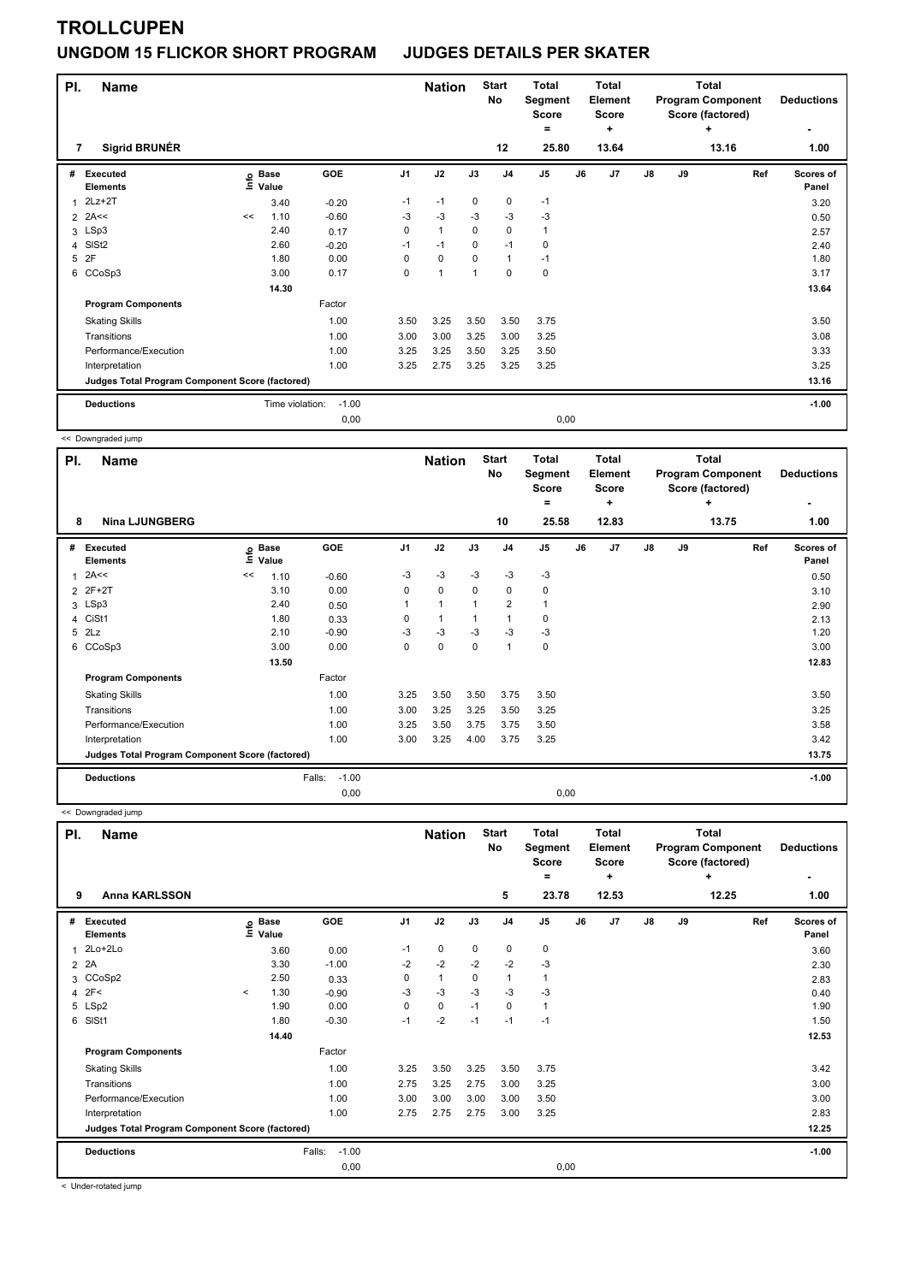### **TROLLCUPEN UNGDOM 15 FLICKOR SHORT PROGRAM JUDGES DETAILS PER SKATER**

| PI.<br>7 | <b>Name</b><br><b>Sigrid BRUNÉR</b>             |    |                      |         |                | <b>Nation</b> |              | <b>Start</b><br><b>No</b><br>12 | <b>Total</b><br>Segment<br><b>Score</b><br>Ξ.<br>25.80 |    | <b>Total</b><br>Element<br><b>Score</b><br>÷<br>13.64 |               | <b>Total</b><br><b>Program Component</b><br>Score (factored) | <b>Deductions</b><br>1.00 |                           |
|----------|-------------------------------------------------|----|----------------------|---------|----------------|---------------|--------------|---------------------------------|--------------------------------------------------------|----|-------------------------------------------------------|---------------|--------------------------------------------------------------|---------------------------|---------------------------|
| #        | <b>Executed</b><br><b>Elements</b>              | e  | <b>Base</b><br>Value | GOE     | J <sub>1</sub> | J2            | J3           | J <sub>4</sub>                  | J5                                                     | J6 | J <sub>7</sub>                                        | $\mathsf{J}8$ | J9                                                           | Ref                       | <b>Scores of</b><br>Panel |
|          | $2Lz+2T$                                        |    | 3.40                 | $-0.20$ | $-1$           | $-1$          | 0            | 0                               | $-1$                                                   |    |                                                       |               |                                                              |                           | 3.20                      |
|          | $2$ 2A<<                                        | << | 1.10                 | $-0.60$ | -3             | $-3$          | $-3$         | $-3$                            | $-3$                                                   |    |                                                       |               |                                                              |                           | 0.50                      |
| 3        | LSp3                                            |    | 2.40                 | 0.17    | 0              | $\mathbf{1}$  | $\mathbf 0$  | $\mathbf 0$                     | 1                                                      |    |                                                       |               |                                                              |                           | 2.57                      |
| 4        | SISt <sub>2</sub>                               |    | 2.60                 | $-0.20$ | $-1$           | $-1$          | 0            | $-1$                            | $\mathbf 0$                                            |    |                                                       |               |                                                              |                           | 2.40                      |
| 5        | 2F                                              |    | 1.80                 | 0.00    | 0              | $\mathbf 0$   | 0            | $\mathbf{1}$                    | $-1$                                                   |    |                                                       |               |                                                              |                           | 1.80                      |
|          | 6 CCoSp3                                        |    | 3.00                 | 0.17    | 0              | 1             | $\mathbf{1}$ | 0                               | 0                                                      |    |                                                       |               |                                                              |                           | 3.17                      |
|          |                                                 |    | 14.30                |         |                |               |              |                                 |                                                        |    |                                                       |               |                                                              |                           | 13.64                     |
|          | <b>Program Components</b>                       |    |                      | Factor  |                |               |              |                                 |                                                        |    |                                                       |               |                                                              |                           |                           |
|          | <b>Skating Skills</b>                           |    |                      | 1.00    | 3.50           | 3.25          | 3.50         | 3.50                            | 3.75                                                   |    |                                                       |               |                                                              |                           | 3.50                      |
|          | Transitions                                     |    |                      | 1.00    | 3.00           | 3.00          | 3.25         | 3.00                            | 3.25                                                   |    |                                                       |               |                                                              |                           | 3.08                      |
|          | Performance/Execution                           |    |                      | 1.00    | 3.25           | 3.25          | 3.50         | 3.25                            | 3.50                                                   |    |                                                       |               |                                                              |                           | 3.33                      |
|          | Interpretation                                  |    |                      | 1.00    | 3.25           | 2.75          | 3.25         | 3.25                            | 3.25                                                   |    |                                                       |               |                                                              |                           | 3.25                      |
|          | Judges Total Program Component Score (factored) |    |                      |         |                |               |              |                                 |                                                        |    |                                                       |               |                                                              |                           | 13.16                     |
|          | <b>Deductions</b>                               |    | Time violation:      | $-1.00$ |                |               |              |                                 |                                                        |    |                                                       |               |                                                              |                           | $-1.00$                   |
|          |                                                 |    |                      | 0.00    |                |               |              |                                 | 0,00                                                   |    |                                                       |               |                                                              |                           |                           |

<< Downgraded jump

| PI.            | <b>Name</b>                                     |    |                      |                   |                | <b>Nation</b>  |      | <b>Start</b><br>No | <b>Total</b><br>Segment<br><b>Score</b> |      | Total<br>Element<br><b>Score</b> |               |    | Total<br><b>Program Component</b><br>Score (factored) | <b>Deductions</b>  |
|----------------|-------------------------------------------------|----|----------------------|-------------------|----------------|----------------|------|--------------------|-----------------------------------------|------|----------------------------------|---------------|----|-------------------------------------------------------|--------------------|
|                |                                                 |    |                      |                   |                |                |      |                    | $=$                                     |      | ٠                                |               |    | ÷                                                     |                    |
| 8              | <b>Nina LJUNGBERG</b>                           |    |                      |                   |                |                |      | 10                 | 25.58                                   |      | 12.83                            |               |    | 13.75                                                 | 1.00               |
| #              | Executed<br><b>Elements</b>                     | ۴ů | <b>Base</b><br>Value | GOE               | J <sub>1</sub> | J2             | J3   | J <sub>4</sub>     | J <sub>5</sub>                          | J6   | J7                               | $\mathsf{J}8$ | J9 | Ref                                                   | Scores of<br>Panel |
| 1              | 2A<<                                            | << | 1.10                 | $-0.60$           | $-3$           | $-3$           | $-3$ | $-3$               | -3                                      |      |                                  |               |    |                                                       | 0.50               |
| $\overline{2}$ | 2F+2T                                           |    | 3.10                 | 0.00              | 0              | $\mathbf 0$    | 0    | 0                  | 0                                       |      |                                  |               |    |                                                       | 3.10               |
|                | 3 LSp3                                          |    | 2.40                 | 0.50              | 1              | $\overline{1}$ | 1    | $\overline{2}$     |                                         |      |                                  |               |    |                                                       | 2.90               |
| 4              | CiSt1                                           |    | 1.80                 | 0.33              | 0              | $\mathbf{1}$   | 1    | $\overline{1}$     | 0                                       |      |                                  |               |    |                                                       | 2.13               |
| 5              | 2Lz                                             |    | 2.10                 | $-0.90$           | $-3$           | $-3$           | $-3$ | $-3$               | $-3$                                    |      |                                  |               |    |                                                       | 1.20               |
|                | 6 CCoSp3                                        |    | 3.00                 | 0.00              | 0              | 0              | 0    | $\overline{1}$     | 0                                       |      |                                  |               |    |                                                       | 3.00               |
|                |                                                 |    | 13.50                |                   |                |                |      |                    |                                         |      |                                  |               |    |                                                       | 12.83              |
|                | <b>Program Components</b>                       |    |                      | Factor            |                |                |      |                    |                                         |      |                                  |               |    |                                                       |                    |
|                | <b>Skating Skills</b>                           |    |                      | 1.00              | 3.25           | 3.50           | 3.50 | 3.75               | 3.50                                    |      |                                  |               |    |                                                       | 3.50               |
|                | Transitions                                     |    |                      | 1.00              | 3.00           | 3.25           | 3.25 | 3.50               | 3.25                                    |      |                                  |               |    |                                                       | 3.25               |
|                | Performance/Execution                           |    |                      | 1.00              | 3.25           | 3.50           | 3.75 | 3.75               | 3.50                                    |      |                                  |               |    |                                                       | 3.58               |
|                | Interpretation                                  |    |                      | 1.00              | 3.00           | 3.25           | 4.00 | 3.75               | 3.25                                    |      |                                  |               |    |                                                       | 3.42               |
|                | Judges Total Program Component Score (factored) |    |                      |                   |                |                |      |                    |                                         |      |                                  |               |    |                                                       | 13.75              |
|                | <b>Deductions</b>                               |    |                      | $-1.00$<br>Falls: |                |                |      |                    |                                         |      |                                  |               |    |                                                       | $-1.00$            |
|                |                                                 |    |                      | 0.00              |                |                |      |                    |                                         | 0,00 |                                  |               |    |                                                       |                    |

<< Downgraded jump

| PI.            | <b>Name</b>                                     |         |                                  |                   |                | <b>Nation</b> |      | <b>Start</b><br>No | <b>Total</b><br>Segment<br><b>Score</b><br>= |    | <b>Total</b><br>Element<br><b>Score</b><br>÷ |               |    | <b>Total</b><br><b>Program Component</b><br>Score (factored)<br>٠ | <b>Deductions</b>  |
|----------------|-------------------------------------------------|---------|----------------------------------|-------------------|----------------|---------------|------|--------------------|----------------------------------------------|----|----------------------------------------------|---------------|----|-------------------------------------------------------------------|--------------------|
| 9              | <b>Anna KARLSSON</b>                            |         |                                  |                   |                |               |      | 5                  | 23.78                                        |    | 12.53                                        |               |    | 12.25                                                             | 1.00               |
| #              | Executed<br><b>Elements</b>                     |         | <b>Base</b><br>은 Base<br>트 Value | <b>GOE</b>        | J <sub>1</sub> | J2            | J3   | J <sub>4</sub>     | J <sub>5</sub>                               | J6 | J <sub>7</sub>                               | $\mathsf{J}8$ | J9 | Ref                                                               | Scores of<br>Panel |
| 1              | 2Lo+2Lo                                         |         | 3.60                             | 0.00              | $-1$           | 0             | 0    | 0                  | 0                                            |    |                                              |               |    |                                                                   | 3.60               |
| $\overline{2}$ | 2A                                              |         | 3.30                             | $-1.00$           | $-2$           | $-2$          | $-2$ | $-2$               | $-3$                                         |    |                                              |               |    |                                                                   | 2.30               |
|                | 3 CCoSp2                                        |         | 2.50                             | 0.33              | 0              | $\mathbf{1}$  | 0    | $\overline{1}$     | 1                                            |    |                                              |               |    |                                                                   | 2.83               |
|                | 4 2F<                                           | $\prec$ | 1.30                             | $-0.90$           | $-3$           | $-3$          | $-3$ | $-3$               | $-3$                                         |    |                                              |               |    |                                                                   | 0.40               |
|                | 5 LSp2                                          |         | 1.90                             | 0.00              | 0              | $\mathbf 0$   | $-1$ | 0                  | $\mathbf{1}$                                 |    |                                              |               |    |                                                                   | 1.90               |
|                | 6 SISt1                                         |         | 1.80                             | $-0.30$           | $-1$           | $-2$          | $-1$ | $-1$               | $-1$                                         |    |                                              |               |    |                                                                   | 1.50               |
|                |                                                 |         | 14.40                            |                   |                |               |      |                    |                                              |    |                                              |               |    |                                                                   | 12.53              |
|                | <b>Program Components</b>                       |         |                                  | Factor            |                |               |      |                    |                                              |    |                                              |               |    |                                                                   |                    |
|                | <b>Skating Skills</b>                           |         |                                  | 1.00              | 3.25           | 3.50          | 3.25 | 3.50               | 3.75                                         |    |                                              |               |    |                                                                   | 3.42               |
|                | Transitions                                     |         |                                  | 1.00              | 2.75           | 3.25          | 2.75 | 3.00               | 3.25                                         |    |                                              |               |    |                                                                   | 3.00               |
|                | Performance/Execution                           |         |                                  | 1.00              | 3.00           | 3.00          | 3.00 | 3.00               | 3.50                                         |    |                                              |               |    |                                                                   | 3.00               |
|                | Interpretation                                  |         |                                  | 1.00              | 2.75           | 2.75          | 2.75 | 3.00               | 3.25                                         |    |                                              |               |    |                                                                   | 2.83               |
|                | Judges Total Program Component Score (factored) |         |                                  |                   |                |               |      |                    |                                              |    |                                              |               |    |                                                                   | 12.25              |
|                | <b>Deductions</b>                               |         |                                  | $-1.00$<br>Falls: |                |               |      |                    |                                              |    |                                              |               |    |                                                                   | $-1.00$            |
|                |                                                 |         |                                  | 0,00              |                |               |      |                    | 0,00                                         |    |                                              |               |    |                                                                   |                    |

< Under-rotated jump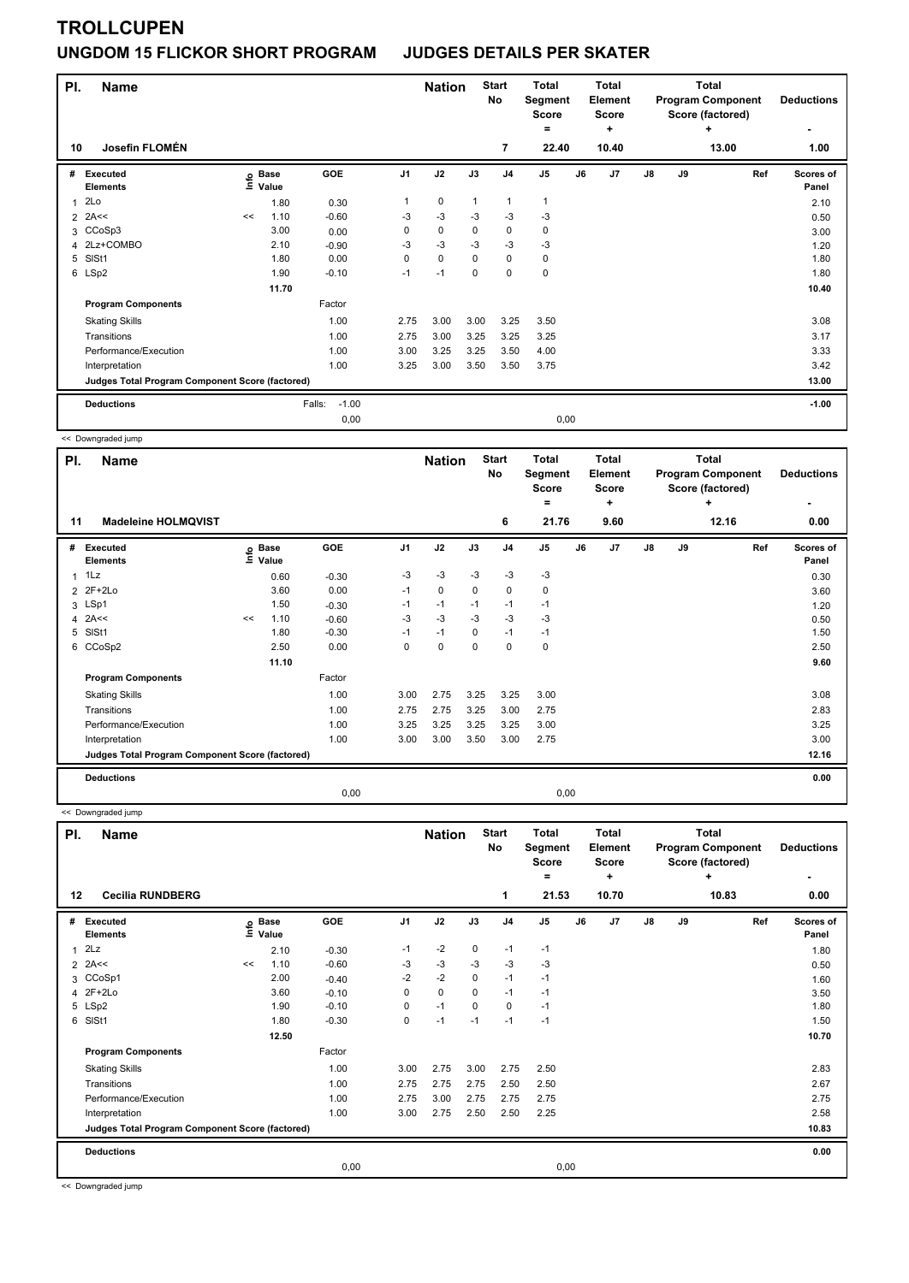# **TROLLCUPEN**

#### **UNGDOM 15 FLICKOR SHORT PROGRAM JUDGES DETAILS PER SKATER**

| PI.<br>10 | <b>Name</b><br>Josefin FLOMÉN                   |    |                      |                   |                | <b>Nation</b> |                | <b>Start</b><br>No<br>7 | <b>Total</b><br>Segment<br><b>Score</b><br>=<br>22.40 |      | <b>Total</b><br>Element<br><b>Score</b><br>٠<br>10.40 |    | <b>Total</b><br><b>Program Component</b><br>Score (factored) | <b>Deductions</b><br>1.00 |                           |
|-----------|-------------------------------------------------|----|----------------------|-------------------|----------------|---------------|----------------|-------------------------|-------------------------------------------------------|------|-------------------------------------------------------|----|--------------------------------------------------------------|---------------------------|---------------------------|
|           |                                                 |    |                      |                   |                |               |                |                         |                                                       |      |                                                       |    |                                                              | 13.00                     |                           |
| #         | Executed<br><b>Elements</b>                     | ۴ę | <b>Base</b><br>Value | GOE               | J <sub>1</sub> | J2            | J3             | J <sub>4</sub>          | J <sub>5</sub>                                        | J6   | J7                                                    | J8 | J9                                                           | Ref                       | <b>Scores of</b><br>Panel |
| 1         | 2Lo                                             |    | 1.80                 | 0.30              |                | $\mathbf 0$   | $\overline{1}$ | $\mathbf{1}$            | $\mathbf{1}$                                          |      |                                                       |    |                                                              |                           | 2.10                      |
|           | $2$ 2A <<                                       | << | 1.10                 | $-0.60$           | -3             | $-3$          | $-3$           | $-3$                    | $-3$                                                  |      |                                                       |    |                                                              |                           | 0.50                      |
|           | 3 CCoSp3                                        |    | 3.00                 | 0.00              | 0              | $\mathbf 0$   | 0              | 0                       | 0                                                     |      |                                                       |    |                                                              |                           | 3.00                      |
|           | 4 2Lz+COMBO                                     |    | 2.10                 | $-0.90$           | -3             | $-3$          | $-3$           | $-3$                    | -3                                                    |      |                                                       |    |                                                              |                           | 1.20                      |
| 5         | SISt1                                           |    | 1.80                 | 0.00              | 0              | $\mathbf 0$   | 0              | $\mathbf 0$             | 0                                                     |      |                                                       |    |                                                              |                           | 1.80                      |
|           | 6 LSp2                                          |    | 1.90                 | $-0.10$           | $-1$           | $-1$          | $\Omega$       | 0                       | $\mathbf 0$                                           |      |                                                       |    |                                                              |                           | 1.80                      |
|           |                                                 |    | 11.70                |                   |                |               |                |                         |                                                       |      |                                                       |    |                                                              |                           | 10.40                     |
|           | <b>Program Components</b>                       |    |                      | Factor            |                |               |                |                         |                                                       |      |                                                       |    |                                                              |                           |                           |
|           | <b>Skating Skills</b>                           |    |                      | 1.00              | 2.75           | 3.00          | 3.00           | 3.25                    | 3.50                                                  |      |                                                       |    |                                                              |                           | 3.08                      |
|           | Transitions                                     |    |                      | 1.00              | 2.75           | 3.00          | 3.25           | 3.25                    | 3.25                                                  |      |                                                       |    |                                                              |                           | 3.17                      |
|           | Performance/Execution                           |    |                      | 1.00              | 3.00           | 3.25          | 3.25           | 3.50                    | 4.00                                                  |      |                                                       |    |                                                              |                           | 3.33                      |
|           | Interpretation                                  |    |                      | 1.00              | 3.25           | 3.00          | 3.50           | 3.50                    | 3.75                                                  |      |                                                       |    |                                                              |                           | 3.42                      |
|           | Judges Total Program Component Score (factored) |    |                      |                   |                |               |                |                         |                                                       |      |                                                       |    |                                                              |                           | 13.00                     |
|           | <b>Deductions</b>                               |    |                      | Falls:<br>$-1.00$ |                |               |                |                         |                                                       |      |                                                       |    |                                                              |                           | $-1.00$                   |
|           |                                                 |    |                      | 0,00              |                |               |                |                         |                                                       | 0,00 |                                                       |    |                                                              |                           |                           |

<< Downgraded jump

| PI.            | <b>Name</b>                                     |    |                            |         |      | <b>Nation</b> |             | <b>Start</b><br>No | <b>Total</b><br>Segment<br><b>Score</b><br>۰ |      | <b>Total</b><br>Element<br><b>Score</b><br>٠ | Total<br><b>Program Component</b><br>Score (factored)<br>÷ |    |       | <b>Deductions</b>         |
|----------------|-------------------------------------------------|----|----------------------------|---------|------|---------------|-------------|--------------------|----------------------------------------------|------|----------------------------------------------|------------------------------------------------------------|----|-------|---------------------------|
| 11             | <b>Madeleine HOLMQVIST</b>                      |    |                            |         |      |               |             | 6                  | 21.76                                        |      | 9.60                                         |                                                            |    | 12.16 | 0.00                      |
| #              | <b>Executed</b><br><b>Elements</b>              |    | e Base<br>E Value<br>Value | GOE     | J1   | J2            | J3          | J <sub>4</sub>     | J <sub>5</sub>                               | J6   | J <sub>7</sub>                               | $\mathsf{J}8$                                              | J9 | Ref   | <b>Scores of</b><br>Panel |
|                | $1$ 1 Lz                                        |    | 0.60                       | $-0.30$ | $-3$ | $-3$          | $-3$        | $-3$               | $-3$                                         |      |                                              |                                                            |    |       | 0.30                      |
|                | 2 2F+2Lo                                        |    | 3.60                       | 0.00    | $-1$ | $\mathbf 0$   | $\Omega$    | $\mathbf 0$        | $\mathbf 0$                                  |      |                                              |                                                            |    |       | 3.60                      |
|                | 3 LSp1                                          |    | 1.50                       | $-0.30$ | $-1$ | $-1$          | $-1$        | $-1$               | $-1$                                         |      |                                              |                                                            |    |       | 1.20                      |
| $\overline{4}$ | 2A<<                                            | << | 1.10                       | $-0.60$ | $-3$ | $-3$          | $-3$        | $-3$               | $-3$                                         |      |                                              |                                                            |    |       | 0.50                      |
| 5              | SISt1                                           |    | 1.80                       | $-0.30$ | $-1$ | $-1$          | $\mathbf 0$ | $-1$               | $-1$                                         |      |                                              |                                                            |    |       | 1.50                      |
| 6              | CCoSp2                                          |    | 2.50                       | 0.00    | 0    | $\mathbf 0$   | 0           | $\mathbf 0$        | $\mathbf 0$                                  |      |                                              |                                                            |    |       | 2.50                      |
|                |                                                 |    | 11.10                      |         |      |               |             |                    |                                              |      |                                              |                                                            |    |       | 9.60                      |
|                | <b>Program Components</b>                       |    |                            | Factor  |      |               |             |                    |                                              |      |                                              |                                                            |    |       |                           |
|                | <b>Skating Skills</b>                           |    |                            | 1.00    | 3.00 | 2.75          | 3.25        | 3.25               | 3.00                                         |      |                                              |                                                            |    |       | 3.08                      |
|                | Transitions                                     |    |                            | 1.00    | 2.75 | 2.75          | 3.25        | 3.00               | 2.75                                         |      |                                              |                                                            |    |       | 2.83                      |
|                | Performance/Execution                           |    |                            | 1.00    | 3.25 | 3.25          | 3.25        | 3.25               | 3.00                                         |      |                                              |                                                            |    |       | 3.25                      |
|                | Interpretation                                  |    |                            | 1.00    | 3.00 | 3.00          | 3.50        | 3.00               | 2.75                                         |      |                                              |                                                            |    |       | 3.00                      |
|                | Judges Total Program Component Score (factored) |    |                            |         |      |               |             |                    |                                              |      |                                              |                                                            |    |       | 12.16                     |
|                | <b>Deductions</b>                               |    |                            |         |      |               |             |                    |                                              |      |                                              |                                                            |    |       | 0.00                      |
|                |                                                 |    |                            | 0,00    |      |               |             |                    |                                              | 0,00 |                                              |                                                            |    |       |                           |

<< Downgraded jump

| PI. | <b>Name</b>                                     |      | <b>Nation</b>        |         | <b>Start</b><br><b>No</b> | <b>Total</b><br>Segment<br>Score<br>= |             | Total<br><b>Element</b><br><b>Score</b><br>٠ |                |      | <b>Total</b><br><b>Program Component</b><br>Score (factored)<br>٠ | <b>Deductions</b><br>۰ |    |       |                    |
|-----|-------------------------------------------------|------|----------------------|---------|---------------------------|---------------------------------------|-------------|----------------------------------------------|----------------|------|-------------------------------------------------------------------|------------------------|----|-------|--------------------|
| 12  | <b>Cecilia RUNDBERG</b>                         |      |                      |         |                           |                                       |             | 1                                            | 21.53          |      | 10.70                                                             |                        |    | 10.83 | 0.00               |
| #   | Executed<br><b>Elements</b>                     | Info | <b>Base</b><br>Value | GOE     | J <sub>1</sub>            | J2                                    | J3          | J <sub>4</sub>                               | J <sub>5</sub> | J6   | J <sub>7</sub>                                                    | J8                     | J9 | Ref   | Scores of<br>Panel |
| 1   | 2Lz                                             |      | 2.10                 | $-0.30$ | $-1$                      | $-2$                                  | $\mathbf 0$ | $-1$                                         | $-1$           |      |                                                                   |                        |    |       | 1.80               |
|     | $2$ 2A<<                                        | <<   | 1.10                 | $-0.60$ | -3                        | $-3$                                  | $-3$        | -3                                           | $-3$           |      |                                                                   |                        |    |       | 0.50               |
|     | 3 CCoSp1                                        |      | 2.00                 | $-0.40$ | $-2$                      | $-2$                                  | $\mathbf 0$ | $-1$                                         | $-1$           |      |                                                                   |                        |    |       | 1.60               |
|     | 4 2F+2Lo                                        |      | 3.60                 | $-0.10$ | 0                         | $\mathbf 0$                           | $\Omega$    | $-1$                                         | $-1$           |      |                                                                   |                        |    |       | 3.50               |
|     | 5 LSp2                                          |      | 1.90                 | $-0.10$ | 0                         | $-1$                                  | 0           | $\mathbf 0$                                  | $-1$           |      |                                                                   |                        |    |       | 1.80               |
| 6   | SISt1                                           |      | 1.80                 | $-0.30$ | 0                         | $-1$                                  | $-1$        | $-1$                                         | $-1$           |      |                                                                   |                        |    |       | 1.50               |
|     |                                                 |      | 12.50                |         |                           |                                       |             |                                              |                |      |                                                                   |                        |    |       | 10.70              |
|     | <b>Program Components</b>                       |      |                      | Factor  |                           |                                       |             |                                              |                |      |                                                                   |                        |    |       |                    |
|     | <b>Skating Skills</b>                           |      |                      | 1.00    | 3.00                      | 2.75                                  | 3.00        | 2.75                                         | 2.50           |      |                                                                   |                        |    |       | 2.83               |
|     | Transitions                                     |      |                      | 1.00    | 2.75                      | 2.75                                  | 2.75        | 2.50                                         | 2.50           |      |                                                                   |                        |    |       | 2.67               |
|     | Performance/Execution                           |      |                      | 1.00    | 2.75                      | 3.00                                  | 2.75        | 2.75                                         | 2.75           |      |                                                                   |                        |    |       | 2.75               |
|     | Interpretation                                  |      |                      | 1.00    | 3.00                      | 2.75                                  | 2.50        | 2.50                                         | 2.25           |      |                                                                   |                        |    |       | 2.58               |
|     | Judges Total Program Component Score (factored) |      |                      |         |                           |                                       |             |                                              |                |      |                                                                   |                        |    |       | 10.83              |
|     | <b>Deductions</b>                               |      |                      |         |                           |                                       |             |                                              |                |      |                                                                   |                        |    |       | 0.00               |
|     |                                                 |      |                      | 0,00    |                           |                                       |             |                                              |                | 0,00 |                                                                   |                        |    |       |                    |

<< Downgraded jump